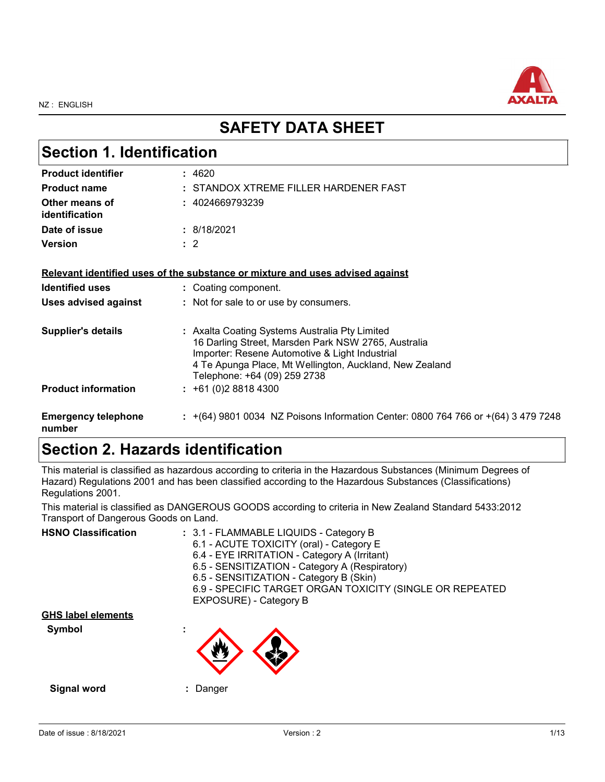

## **SAFETY DATA SHEET**

| <b>Section 1. Identification</b>     |                                                                                                                                                                                                                                                    |  |
|--------------------------------------|----------------------------------------------------------------------------------------------------------------------------------------------------------------------------------------------------------------------------------------------------|--|
| <b>Product identifier</b>            | : 4620                                                                                                                                                                                                                                             |  |
| <b>Product name</b>                  | : STANDOX XTREME FILLER HARDENER FAST                                                                                                                                                                                                              |  |
| Other means of<br>identification     | : 4024669793239                                                                                                                                                                                                                                    |  |
| Date of issue                        | : 8/18/2021                                                                                                                                                                                                                                        |  |
| <b>Version</b>                       | $\therefore$ 2                                                                                                                                                                                                                                     |  |
|                                      | Relevant identified uses of the substance or mixture and uses advised against                                                                                                                                                                      |  |
| <b>Identified uses</b>               | : Coating component.                                                                                                                                                                                                                               |  |
| <b>Uses advised against</b>          | : Not for sale to or use by consumers.                                                                                                                                                                                                             |  |
| <b>Supplier's details</b>            | : Axalta Coating Systems Australia Pty Limited<br>16 Darling Street, Marsden Park NSW 2765, Australia<br>Importer: Resene Automotive & Light Industrial<br>4 Te Apunga Place, Mt Wellington, Auckland, New Zealand<br>Telephone: +64 (09) 259 2738 |  |
| <b>Product information</b>           | $: +61(0)288184300$                                                                                                                                                                                                                                |  |
| <b>Emergency telephone</b><br>number | : $+(64)$ 9801 0034 NZ Poisons Information Center: 0800 764 766 or $+(64)$ 3 479 7248                                                                                                                                                              |  |

## **Section 2. Hazards identification**

This material is classified as hazardous according to criteria in the Hazardous Substances (Minimum Degrees of Hazard) Regulations 2001 and has been classified according to the Hazardous Substances (Classifications) Regulations 2001.

This material is classified as DANGEROUS GOODS according to criteria in New Zealand Standard 5433:2012 Transport of Dangerous Goods on Land.

| <b>HSNO Classification</b> | : 3.1 - FLAMMABLE LIQUIDS - Category B<br>6.1 - ACUTE TOXICITY (oral) - Category E<br>6.4 - EYE IRRITATION - Category A (Irritant)<br>6.5 - SENSITIZATION - Category A (Respiratory)<br>6.5 - SENSITIZATION - Category B (Skin)<br>6.9 - SPECIFIC TARGET ORGAN TOXICITY (SINGLE OR REPEATED<br>EXPOSURE) - Category B |
|----------------------------|-----------------------------------------------------------------------------------------------------------------------------------------------------------------------------------------------------------------------------------------------------------------------------------------------------------------------|
| <b>GHS label elements</b>  |                                                                                                                                                                                                                                                                                                                       |
| Symbol                     |                                                                                                                                                                                                                                                                                                                       |
| Signal word                | Danger                                                                                                                                                                                                                                                                                                                |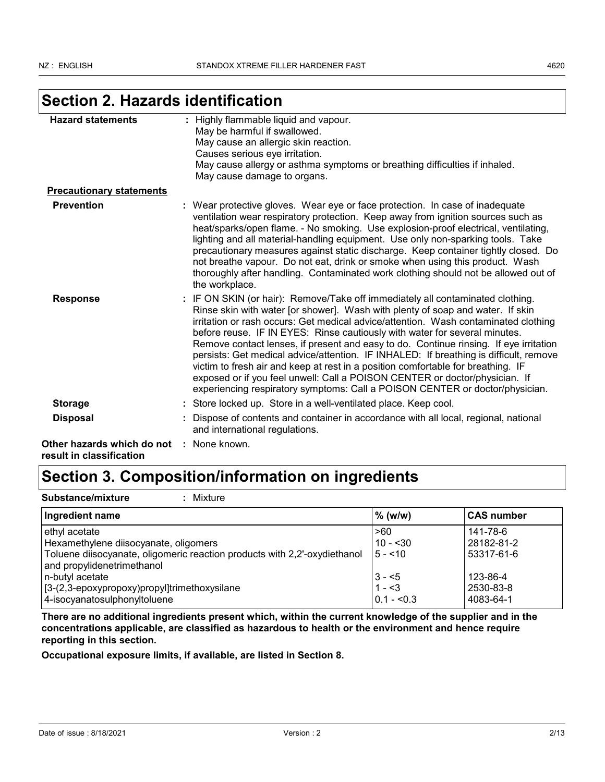# **Section 2. Hazards identification**

| <b>Hazard statements</b>                               | : Highly flammable liquid and vapour.<br>May be harmful if swallowed.<br>May cause an allergic skin reaction.<br>Causes serious eye irritation.<br>May cause allergy or asthma symptoms or breathing difficulties if inhaled.                                                                                                                                                                                                                                                                                                                                                                                                                                                                                                                                              |
|--------------------------------------------------------|----------------------------------------------------------------------------------------------------------------------------------------------------------------------------------------------------------------------------------------------------------------------------------------------------------------------------------------------------------------------------------------------------------------------------------------------------------------------------------------------------------------------------------------------------------------------------------------------------------------------------------------------------------------------------------------------------------------------------------------------------------------------------|
|                                                        | May cause damage to organs.                                                                                                                                                                                                                                                                                                                                                                                                                                                                                                                                                                                                                                                                                                                                                |
| <b>Precautionary statements</b>                        |                                                                                                                                                                                                                                                                                                                                                                                                                                                                                                                                                                                                                                                                                                                                                                            |
| <b>Prevention</b>                                      | : Wear protective gloves. Wear eye or face protection. In case of inadequate<br>ventilation wear respiratory protection. Keep away from ignition sources such as<br>heat/sparks/open flame. - No smoking. Use explosion-proof electrical, ventilating,<br>lighting and all material-handling equipment. Use only non-sparking tools. Take<br>precautionary measures against static discharge. Keep container tightly closed. Do<br>not breathe vapour. Do not eat, drink or smoke when using this product. Wash<br>thoroughly after handling. Contaminated work clothing should not be allowed out of<br>the workplace.                                                                                                                                                    |
| <b>Response</b>                                        | : IF ON SKIN (or hair): Remove/Take off immediately all contaminated clothing.<br>Rinse skin with water [or shower]. Wash with plenty of soap and water. If skin<br>irritation or rash occurs: Get medical advice/attention. Wash contaminated clothing<br>before reuse. IF IN EYES: Rinse cautiously with water for several minutes.<br>Remove contact lenses, if present and easy to do. Continue rinsing. If eye irritation<br>persists: Get medical advice/attention. IF INHALED: If breathing is difficult, remove<br>victim to fresh air and keep at rest in a position comfortable for breathing. IF<br>exposed or if you feel unwell: Call a POISON CENTER or doctor/physician. If<br>experiencing respiratory symptoms: Call a POISON CENTER or doctor/physician. |
| <b>Storage</b>                                         | : Store locked up. Store in a well-ventilated place. Keep cool.                                                                                                                                                                                                                                                                                                                                                                                                                                                                                                                                                                                                                                                                                                            |
| <b>Disposal</b>                                        | Dispose of contents and container in accordance with all local, regional, national<br>and international regulations.                                                                                                                                                                                                                                                                                                                                                                                                                                                                                                                                                                                                                                                       |
| Other hazards which do not<br>result in classification | : None known.                                                                                                                                                                                                                                                                                                                                                                                                                                                                                                                                                                                                                                                                                                                                                              |

# **Section 3. Composition/information on ingredients**

| Substance/mixture<br>Mixture                                                                                                                                      |                                   |                                      |  |
|-------------------------------------------------------------------------------------------------------------------------------------------------------------------|-----------------------------------|--------------------------------------|--|
| Ingredient name                                                                                                                                                   | % (w/w)                           | <b>CAS number</b>                    |  |
| ethyl acetate<br>Hexamethylene diisocyanate, oligomers<br>Toluene diisocyanate, oligomeric reaction products with 2,2'-oxydiethanol<br>and propylidenetrimethanol | >60<br>$10 - 30$<br>$15 - 10$     | 141-78-6<br>28182-81-2<br>53317-61-6 |  |
| n-butyl acetate<br>[3-(2,3-epoxypropoxy)propyl]trimethoxysilane<br>4-isocyanatosulphonyltoluene                                                                   | $3 - 5$<br>$1 - 3$<br>$0.1 - 5.3$ | 123-86-4<br>2530-83-8<br>4083-64-1   |  |

**There are no additional ingredients present which, within the current knowledge of the supplier and in the concentrations applicable, are classified as hazardous to health or the environment and hence require reporting in this section.**

**Occupational exposure limits, if available, are listed in Section 8.**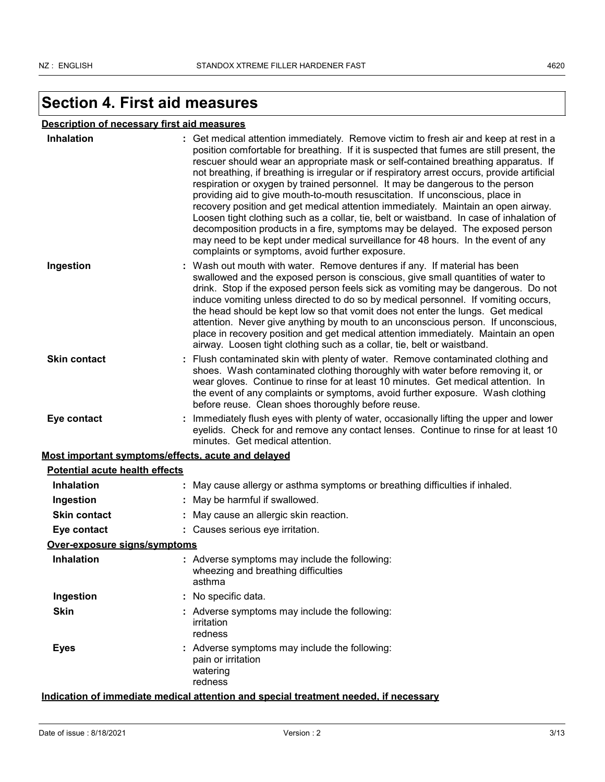## **Section 4. First aid measures**

### **Description of necessary first aid measures**

| Inhalation                                         | : Get medical attention immediately. Remove victim to fresh air and keep at rest in a<br>position comfortable for breathing. If it is suspected that fumes are still present, the<br>rescuer should wear an appropriate mask or self-contained breathing apparatus. If<br>not breathing, if breathing is irregular or if respiratory arrest occurs, provide artificial<br>respiration or oxygen by trained personnel. It may be dangerous to the person<br>providing aid to give mouth-to-mouth resuscitation. If unconscious, place in<br>recovery position and get medical attention immediately. Maintain an open airway.<br>Loosen tight clothing such as a collar, tie, belt or waistband. In case of inhalation of<br>decomposition products in a fire, symptoms may be delayed. The exposed person<br>may need to be kept under medical surveillance for 48 hours. In the event of any<br>complaints or symptoms, avoid further exposure. |  |
|----------------------------------------------------|--------------------------------------------------------------------------------------------------------------------------------------------------------------------------------------------------------------------------------------------------------------------------------------------------------------------------------------------------------------------------------------------------------------------------------------------------------------------------------------------------------------------------------------------------------------------------------------------------------------------------------------------------------------------------------------------------------------------------------------------------------------------------------------------------------------------------------------------------------------------------------------------------------------------------------------------------|--|
| Ingestion                                          | : Wash out mouth with water. Remove dentures if any. If material has been<br>swallowed and the exposed person is conscious, give small quantities of water to<br>drink. Stop if the exposed person feels sick as vomiting may be dangerous. Do not<br>induce vomiting unless directed to do so by medical personnel. If vomiting occurs,<br>the head should be kept low so that vomit does not enter the lungs. Get medical<br>attention. Never give anything by mouth to an unconscious person. If unconscious,<br>place in recovery position and get medical attention immediately. Maintain an open<br>airway. Loosen tight clothing such as a collar, tie, belt or waistband.                                                                                                                                                                                                                                                                |  |
| <b>Skin contact</b>                                | : Flush contaminated skin with plenty of water. Remove contaminated clothing and<br>shoes. Wash contaminated clothing thoroughly with water before removing it, or<br>wear gloves. Continue to rinse for at least 10 minutes. Get medical attention. In<br>the event of any complaints or symptoms, avoid further exposure. Wash clothing<br>before reuse. Clean shoes thoroughly before reuse.                                                                                                                                                                                                                                                                                                                                                                                                                                                                                                                                                  |  |
| Eye contact                                        | Immediately flush eyes with plenty of water, occasionally lifting the upper and lower<br>eyelids. Check for and remove any contact lenses. Continue to rinse for at least 10<br>minutes. Get medical attention.                                                                                                                                                                                                                                                                                                                                                                                                                                                                                                                                                                                                                                                                                                                                  |  |
| Most important symptoms/effects, acute and delayed |                                                                                                                                                                                                                                                                                                                                                                                                                                                                                                                                                                                                                                                                                                                                                                                                                                                                                                                                                  |  |
| <b>Potential acute health effects</b>              |                                                                                                                                                                                                                                                                                                                                                                                                                                                                                                                                                                                                                                                                                                                                                                                                                                                                                                                                                  |  |
| <b>Inhalation</b>                                  | May cause allergy or asthma symptoms or breathing difficulties if inhaled.                                                                                                                                                                                                                                                                                                                                                                                                                                                                                                                                                                                                                                                                                                                                                                                                                                                                       |  |
| Ingestion                                          | May be harmful if swallowed.                                                                                                                                                                                                                                                                                                                                                                                                                                                                                                                                                                                                                                                                                                                                                                                                                                                                                                                     |  |
| <b>Skin contact</b>                                | May cause an allergic skin reaction.                                                                                                                                                                                                                                                                                                                                                                                                                                                                                                                                                                                                                                                                                                                                                                                                                                                                                                             |  |
| Eye contact                                        | : Causes serious eye irritation.                                                                                                                                                                                                                                                                                                                                                                                                                                                                                                                                                                                                                                                                                                                                                                                                                                                                                                                 |  |
| Over-exposure signs/symptoms                       |                                                                                                                                                                                                                                                                                                                                                                                                                                                                                                                                                                                                                                                                                                                                                                                                                                                                                                                                                  |  |
| <b>Inhalation</b>                                  | : Adverse symptoms may include the following:<br>wheezing and breathing difficulties<br>asthma                                                                                                                                                                                                                                                                                                                                                                                                                                                                                                                                                                                                                                                                                                                                                                                                                                                   |  |
| Ingestion                                          | No specific data.                                                                                                                                                                                                                                                                                                                                                                                                                                                                                                                                                                                                                                                                                                                                                                                                                                                                                                                                |  |
| <b>Skin</b>                                        | : Adverse symptoms may include the following:<br>irritation<br>redness                                                                                                                                                                                                                                                                                                                                                                                                                                                                                                                                                                                                                                                                                                                                                                                                                                                                           |  |
| <b>Eyes</b>                                        | Adverse symptoms may include the following:<br>pain or irritation<br>watering<br>redness                                                                                                                                                                                                                                                                                                                                                                                                                                                                                                                                                                                                                                                                                                                                                                                                                                                         |  |

### **Indication of immediate medical attention and special treatment needed, if necessary**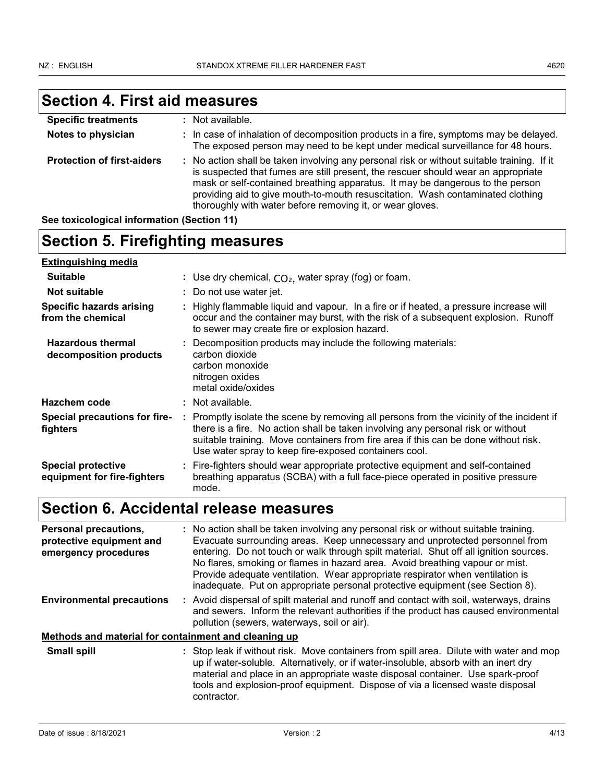### **Section 4. First aid measures Specific treatments :** Not available.

| Specific treatments               | : NOT available.                                                                                                                                                                                                                                                                                                                                                                                                |
|-----------------------------------|-----------------------------------------------------------------------------------------------------------------------------------------------------------------------------------------------------------------------------------------------------------------------------------------------------------------------------------------------------------------------------------------------------------------|
| Notes to physician                | : In case of inhalation of decomposition products in a fire, symptoms may be delayed.<br>The exposed person may need to be kept under medical surveillance for 48 hours.                                                                                                                                                                                                                                        |
| <b>Protection of first-aiders</b> | : No action shall be taken involving any personal risk or without suitable training. If it<br>is suspected that fumes are still present, the rescuer should wear an appropriate<br>mask or self-contained breathing apparatus. It may be dangerous to the person<br>providing aid to give mouth-to-mouth resuscitation. Wash contaminated clothing<br>thoroughly with water before removing it, or wear gloves. |

**See toxicological information (Section 11)**

# **Section 5. Firefighting measures**

| <b>Extinguishing media</b>                                                                                                                                                                                                                                                                                                                                                        |                                                                                                                                                                                                                               |
|-----------------------------------------------------------------------------------------------------------------------------------------------------------------------------------------------------------------------------------------------------------------------------------------------------------------------------------------------------------------------------------|-------------------------------------------------------------------------------------------------------------------------------------------------------------------------------------------------------------------------------|
| <b>Suitable</b>                                                                                                                                                                                                                                                                                                                                                                   | : Use dry chemical, $CO2$ , water spray (fog) or foam.                                                                                                                                                                        |
| Not suitable                                                                                                                                                                                                                                                                                                                                                                      | : Do not use water jet.                                                                                                                                                                                                       |
| <b>Specific hazards arising</b><br>from the chemical                                                                                                                                                                                                                                                                                                                              | : Highly flammable liquid and vapour. In a fire or if heated, a pressure increase will<br>occur and the container may burst, with the risk of a subsequent explosion. Runoff<br>to sewer may create fire or explosion hazard. |
| <b>Hazardous thermal</b><br>decomposition products                                                                                                                                                                                                                                                                                                                                | : Decomposition products may include the following materials:<br>carbon dioxide<br>carbon monoxide<br>nitrogen oxides<br>metal oxide/oxides                                                                                   |
| Hazchem code                                                                                                                                                                                                                                                                                                                                                                      | : Not available.                                                                                                                                                                                                              |
| <b>Special precautions for fire-</b><br>: Promptly isolate the scene by removing all persons from the vicinity of the incident if<br>there is a fire. No action shall be taken involving any personal risk or without<br>fighters<br>suitable training. Move containers from fire area if this can be done without risk.<br>Use water spray to keep fire-exposed containers cool. |                                                                                                                                                                                                                               |
| <b>Special protective</b><br>equipment for fire-fighters                                                                                                                                                                                                                                                                                                                          | : Fire-fighters should wear appropriate protective equipment and self-contained<br>breathing apparatus (SCBA) with a full face-piece operated in positive pressure<br>mode.                                                   |

# **Section 6. Accidental release measures**

| Personal precautions,<br>protective equipment and<br>emergency procedures | : No action shall be taken involving any personal risk or without suitable training.<br>Evacuate surrounding areas. Keep unnecessary and unprotected personnel from<br>entering. Do not touch or walk through spilt material. Shut off all ignition sources.<br>No flares, smoking or flames in hazard area. Avoid breathing vapour or mist.<br>Provide adequate ventilation. Wear appropriate respirator when ventilation is<br>inadequate. Put on appropriate personal protective equipment (see Section 8). |  |  |
|---------------------------------------------------------------------------|----------------------------------------------------------------------------------------------------------------------------------------------------------------------------------------------------------------------------------------------------------------------------------------------------------------------------------------------------------------------------------------------------------------------------------------------------------------------------------------------------------------|--|--|
| <b>Environmental precautions</b>                                          | : Avoid dispersal of spilt material and runoff and contact with soil, waterways, drains<br>and sewers. Inform the relevant authorities if the product has caused environmental<br>pollution (sewers, waterways, soil or air).                                                                                                                                                                                                                                                                                  |  |  |
| Methods and material for containment and cleaning up                      |                                                                                                                                                                                                                                                                                                                                                                                                                                                                                                                |  |  |
| <b>Small spill</b>                                                        | : Stop leak if without risk. Move containers from spill area. Dilute with water and mop<br>up if water-soluble. Alternatively, or if water-insoluble, absorb with an inert dry<br>material and place in an appropriate waste disposal container. Use spark-proof<br>tools and explosion-proof equipment. Dispose of via a licensed waste disposal<br>contractor.                                                                                                                                               |  |  |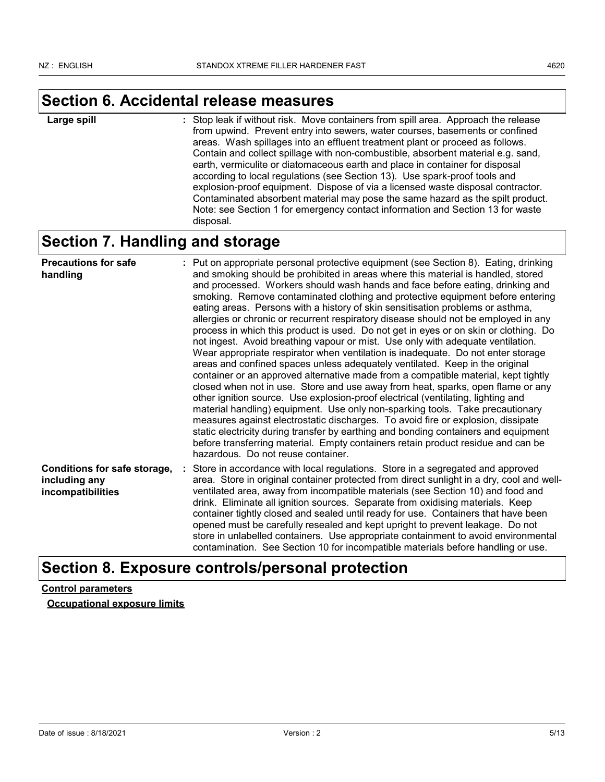## **Section 6. Accidental release measures**

: Stop leak if without risk. Move containers from spill area. Approach the release from upwind. Prevent entry into sewers, water courses, basements or confined areas. Wash spillages into an effluent treatment plant or proceed as follows. Contain and collect spillage with non-combustible, absorbent material e.g. sand, earth, vermiculite or diatomaceous earth and place in container for disposal according to local regulations (see Section 13). Use spark-proof tools and explosion-proof equipment. Dispose of via a licensed waste disposal contractor. Contaminated absorbent material may pose the same hazard as the spilt product. Note: see Section 1 for emergency contact information and Section 13 for waste disposal. **Large spill :**

## **Section 7. Handling and storage**

| <b>Precautions for safe</b><br>handling                            | : Put on appropriate personal protective equipment (see Section 8). Eating, drinking<br>and smoking should be prohibited in areas where this material is handled, stored<br>and processed. Workers should wash hands and face before eating, drinking and<br>smoking. Remove contaminated clothing and protective equipment before entering<br>eating areas. Persons with a history of skin sensitisation problems or asthma,<br>allergies or chronic or recurrent respiratory disease should not be employed in any<br>process in which this product is used. Do not get in eyes or on skin or clothing. Do<br>not ingest. Avoid breathing vapour or mist. Use only with adequate ventilation.<br>Wear appropriate respirator when ventilation is inadequate. Do not enter storage<br>areas and confined spaces unless adequately ventilated. Keep in the original<br>container or an approved alternative made from a compatible material, kept tightly<br>closed when not in use. Store and use away from heat, sparks, open flame or any<br>other ignition source. Use explosion-proof electrical (ventilating, lighting and<br>material handling) equipment. Use only non-sparking tools. Take precautionary<br>measures against electrostatic discharges. To avoid fire or explosion, dissipate<br>static electricity during transfer by earthing and bonding containers and equipment<br>before transferring material. Empty containers retain product residue and can be<br>hazardous. Do not reuse container. |
|--------------------------------------------------------------------|------------------------------------------------------------------------------------------------------------------------------------------------------------------------------------------------------------------------------------------------------------------------------------------------------------------------------------------------------------------------------------------------------------------------------------------------------------------------------------------------------------------------------------------------------------------------------------------------------------------------------------------------------------------------------------------------------------------------------------------------------------------------------------------------------------------------------------------------------------------------------------------------------------------------------------------------------------------------------------------------------------------------------------------------------------------------------------------------------------------------------------------------------------------------------------------------------------------------------------------------------------------------------------------------------------------------------------------------------------------------------------------------------------------------------------------------------------------------------------------------------------------------|
| Conditions for safe storage,<br>including any<br>incompatibilities | : Store in accordance with local regulations. Store in a segregated and approved<br>area. Store in original container protected from direct sunlight in a dry, cool and well-<br>ventilated area, away from incompatible materials (see Section 10) and food and<br>drink. Eliminate all ignition sources. Separate from oxidising materials. Keep<br>container tightly closed and sealed until ready for use. Containers that have been<br>opened must be carefully resealed and kept upright to prevent leakage. Do not<br>store in unlabelled containers. Use appropriate containment to avoid environmental<br>contamination. See Section 10 for incompatible materials before handling or use.                                                                                                                                                                                                                                                                                                                                                                                                                                                                                                                                                                                                                                                                                                                                                                                                                    |

## **Section 8. Exposure controls/personal protection**

### **Control parameters**

**Occupational exposure limits**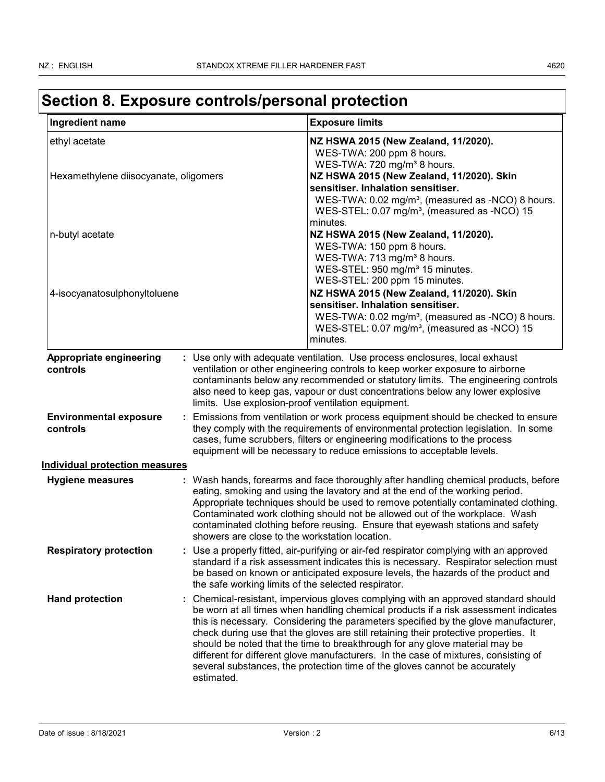| Ingredient name                                        | <b>Exposure limits</b>                                                                                                                                                                                                                                                                                                                                                                                                                                                                                                                                                                                                  |                                                                                                                           |
|--------------------------------------------------------|-------------------------------------------------------------------------------------------------------------------------------------------------------------------------------------------------------------------------------------------------------------------------------------------------------------------------------------------------------------------------------------------------------------------------------------------------------------------------------------------------------------------------------------------------------------------------------------------------------------------------|---------------------------------------------------------------------------------------------------------------------------|
| ethyl acetate<br>Hexamethylene diisocyanate, oligomers | NZ HSWA 2015 (New Zealand, 11/2020).<br>WES-TWA: 200 ppm 8 hours.<br>WES-TWA: 720 mg/m <sup>3</sup> 8 hours.<br>NZ HSWA 2015 (New Zealand, 11/2020). Skin<br>sensitiser. Inhalation sensitiser.                                                                                                                                                                                                                                                                                                                                                                                                                         | WES-TWA: 0.02 mg/m <sup>3</sup> , (measured as -NCO) 8 hours.<br>WES-STEL: 0.07 mg/m <sup>3</sup> , (measured as -NCO) 15 |
| n-butyl acetate                                        | minutes.<br>NZ HSWA 2015 (New Zealand, 11/2020).<br>WES-TWA: 150 ppm 8 hours.<br>WES-TWA: 713 mg/m <sup>3</sup> 8 hours.<br>WES-STEL: 950 mg/m <sup>3</sup> 15 minutes.<br>WES-STEL: 200 ppm 15 minutes.                                                                                                                                                                                                                                                                                                                                                                                                                |                                                                                                                           |
| 4-isocyanatosulphonyltoluene                           | NZ HSWA 2015 (New Zealand, 11/2020). Skin<br>sensitiser. Inhalation sensitiser.<br>minutes.                                                                                                                                                                                                                                                                                                                                                                                                                                                                                                                             | WES-TWA: 0.02 mg/m <sup>3</sup> , (measured as -NCO) 8 hours.<br>WES-STEL: 0.07 mg/m <sup>3</sup> , (measured as -NCO) 15 |
| Appropriate engineering<br>controls                    | : Use only with adequate ventilation. Use process enclosures, local exhaust<br>ventilation or other engineering controls to keep worker exposure to airborne<br>contaminants below any recommended or statutory limits. The engineering controls<br>also need to keep gas, vapour or dust concentrations below any lower explosive<br>limits. Use explosion-proof ventilation equipment.                                                                                                                                                                                                                                |                                                                                                                           |
| <b>Environmental exposure</b><br>controls              | Emissions from ventilation or work process equipment should be checked to ensure<br>they comply with the requirements of environmental protection legislation. In some<br>cases, fume scrubbers, filters or engineering modifications to the process<br>equipment will be necessary to reduce emissions to acceptable levels.                                                                                                                                                                                                                                                                                           |                                                                                                                           |
| <b>Individual protection measures</b>                  |                                                                                                                                                                                                                                                                                                                                                                                                                                                                                                                                                                                                                         |                                                                                                                           |
| <b>Hygiene measures</b>                                | : Wash hands, forearms and face thoroughly after handling chemical products, before<br>eating, smoking and using the lavatory and at the end of the working period.<br>Appropriate techniques should be used to remove potentially contaminated clothing.<br>Contaminated work clothing should not be allowed out of the workplace. Wash<br>contaminated clothing before reusing. Ensure that eyewash stations and safety<br>showers are close to the workstation location.                                                                                                                                             |                                                                                                                           |
| <b>Respiratory protection</b>                          | : Use a properly fitted, air-purifying or air-fed respirator complying with an approved<br>standard if a risk assessment indicates this is necessary. Respirator selection must<br>be based on known or anticipated exposure levels, the hazards of the product and<br>the safe working limits of the selected respirator.                                                                                                                                                                                                                                                                                              |                                                                                                                           |
| <b>Hand protection</b>                                 | Chemical-resistant, impervious gloves complying with an approved standard should<br>be worn at all times when handling chemical products if a risk assessment indicates<br>this is necessary. Considering the parameters specified by the glove manufacturer,<br>check during use that the gloves are still retaining their protective properties. It<br>should be noted that the time to breakthrough for any glove material may be<br>different for different glove manufacturers. In the case of mixtures, consisting of<br>several substances, the protection time of the gloves cannot be accurately<br>estimated. |                                                                                                                           |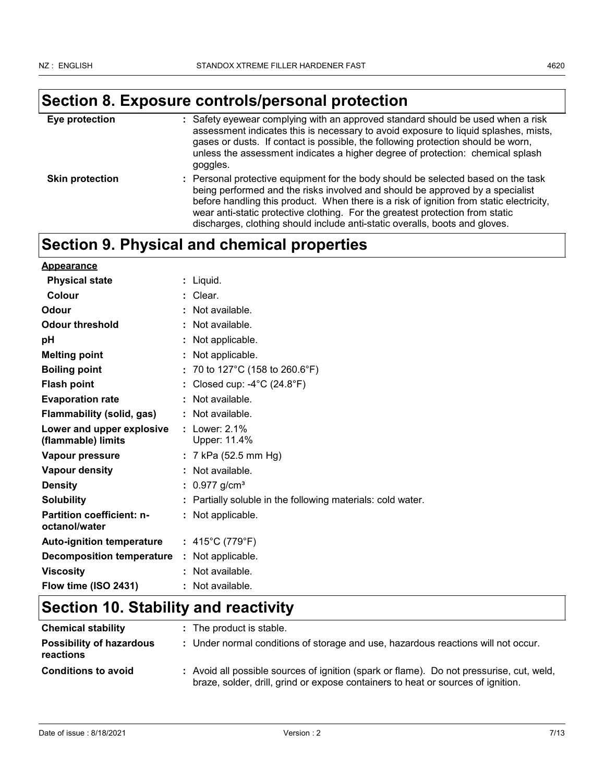# **Section 8. Exposure controls/personal protection**

| Eye protection         | : Safety eyewear complying with an approved standard should be used when a risk<br>assessment indicates this is necessary to avoid exposure to liquid splashes, mists,<br>gases or dusts. If contact is possible, the following protection should be worn,<br>unless the assessment indicates a higher degree of protection: chemical splash<br>goggles.                                                                      |
|------------------------|-------------------------------------------------------------------------------------------------------------------------------------------------------------------------------------------------------------------------------------------------------------------------------------------------------------------------------------------------------------------------------------------------------------------------------|
| <b>Skin protection</b> | : Personal protective equipment for the body should be selected based on the task<br>being performed and the risks involved and should be approved by a specialist<br>before handling this product. When there is a risk of ignition from static electricity,<br>wear anti-static protective clothing. For the greatest protection from static<br>discharges, clothing should include anti-static overalls, boots and gloves. |

## **Section 9. Physical and chemical properties**

| <b>Appearance</b>                                 |                                                             |
|---------------------------------------------------|-------------------------------------------------------------|
| <b>Physical state</b>                             | : Liquid.                                                   |
| Colour                                            | : Clear.                                                    |
| Odour                                             | Not available.                                              |
| <b>Odour threshold</b>                            | Not available.                                              |
| pH                                                | : Not applicable.                                           |
| <b>Melting point</b>                              | Not applicable.                                             |
| <b>Boiling point</b>                              | : 70 to 127°C (158 to 260.6°F)                              |
| <b>Flash point</b>                                | Closed cup: $-4^{\circ}$ C (24.8 $^{\circ}$ F)              |
| <b>Evaporation rate</b>                           | Not available.                                              |
| <b>Flammability (solid, gas)</b>                  | : Not available.                                            |
| Lower and upper explosive<br>(flammable) limits   | : Lower: $2.1\%$<br>Upper: 11.4%                            |
| Vapour pressure                                   | : 7 kPa (52.5 mm Hg)                                        |
| <b>Vapour density</b>                             | : Not available.                                            |
| <b>Density</b>                                    | : $0.977$ g/cm <sup>3</sup>                                 |
| <b>Solubility</b>                                 | : Partially soluble in the following materials: cold water. |
| <b>Partition coefficient: n-</b><br>octanol/water | : Not applicable.                                           |
| <b>Auto-ignition temperature</b>                  | : 415°C (779°F)                                             |
| <b>Decomposition temperature</b>                  | Not applicable.                                             |
| <b>Viscosity</b>                                  | : Not available.                                            |
| Flow time (ISO 2431)                              | : Not available.                                            |

# **Section 10. Stability and reactivity**

| <b>Chemical stability</b>                    | : The product is stable.                                                                                                                                                     |
|----------------------------------------------|------------------------------------------------------------------------------------------------------------------------------------------------------------------------------|
| <b>Possibility of hazardous</b><br>reactions | : Under normal conditions of storage and use, hazardous reactions will not occur.                                                                                            |
| <b>Conditions to avoid</b>                   | : Avoid all possible sources of ignition (spark or flame). Do not pressurise, cut, weld,<br>braze, solder, drill, grind or expose containers to heat or sources of ignition. |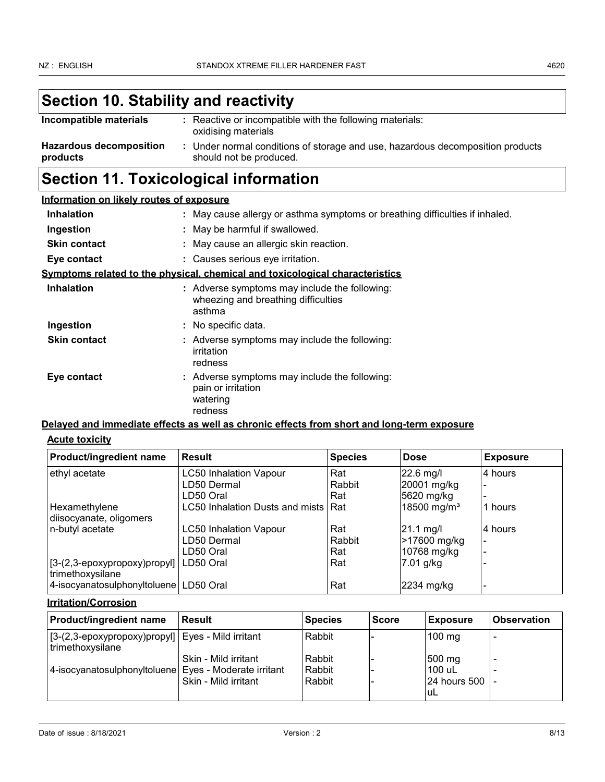# **Section 10. Stability and reactivity**

| Incompatible materials                     | : Reactive or incompatible with the following materials:<br>oxidising materials                         |
|--------------------------------------------|---------------------------------------------------------------------------------------------------------|
| <b>Hazardous decomposition</b><br>products | Under normal conditions of storage and use, hazardous decomposition products<br>should not be produced. |

## **Section 11. Toxicological information**

| Information on likely routes of exposure |  |  |  |  |  |
|------------------------------------------|--|--|--|--|--|
|------------------------------------------|--|--|--|--|--|

| <b>Inhalation</b>   | : May cause allergy or asthma symptoms or breathing difficulties if inhaled.                   |
|---------------------|------------------------------------------------------------------------------------------------|
| Ingestion           | : May be harmful if swallowed.                                                                 |
| <b>Skin contact</b> | : May cause an allergic skin reaction.                                                         |
| Eye contact         | : Causes serious eye irritation.                                                               |
|                     | Symptoms related to the physical, chemical and toxicological characteristics                   |
| <b>Inhalation</b>   | : Adverse symptoms may include the following:<br>wheezing and breathing difficulties<br>asthma |
| Ingestion           | : No specific data.                                                                            |
| <b>Skin contact</b> | : Adverse symptoms may include the following:<br>irritation<br>redness                         |
| Eye contact         | : Adverse symptoms may include the following:<br>pain or irritation<br>watering<br>redness     |

### **Delayed and immediate effects as well as chronic effects from short and long-term exposure**

### **Acute toxicity**

| Product/ingredient name                                                   | l Result                        | <b>Species</b> | <b>Dose</b>             | <b>Exposure</b> |
|---------------------------------------------------------------------------|---------------------------------|----------------|-------------------------|-----------------|
| ethyl acetate                                                             | <b>LC50 Inhalation Vapour</b>   | Rat            | 22.6 mg/l               | 4 hours         |
|                                                                           | LD50 Dermal                     | Rabbit         | 20001 mg/kg             |                 |
|                                                                           | LD50 Oral                       | Rat            | 5620 mg/kg              |                 |
| Hexamethylene                                                             | LC50 Inhalation Dusts and mists | Rat            | 18500 mg/m <sup>3</sup> | 1 hours         |
| diisocyanate, oligomers                                                   |                                 |                |                         |                 |
| n-butyl acetate                                                           | <b>LC50 Inhalation Vapour</b>   | Rat            | $21.1 \text{ mg/l}$     | 4 hours         |
|                                                                           | LD50 Dermal                     | Rabbit         | >17600 mg/kg            |                 |
|                                                                           | LD50 Oral                       | Rat            | 10768 mg/kg             |                 |
| $[3-(2,3-\epsilon p\alpha x) p\alpha y]$ [3- $(2,3-\epsilon p\alpha y)$ ] | LD50 Oral                       | Rat            | 7.01 g/kg               |                 |
| trimethoxysilane                                                          |                                 |                |                         |                 |
| 4-isocyanatosulphonyltoluene   LD50 Oral                                  |                                 | Rat            | 2234 mg/kg              |                 |

### **Irritation/Corrosion**

| Product/ingredient name                                                             | <b>Result</b>            | <b>Species</b> | <b>Score</b> | <b>Exposure</b>  | <b>Observation</b> |
|-------------------------------------------------------------------------------------|--------------------------|----------------|--------------|------------------|--------------------|
| $[3-(2,3-\epsilon) \text{exy} \text{propxy}$ (2, 3-epoxypropyl)<br>trimethoxysilane | Eyes - Mild irritant     | Rabbit         |              | $100 \text{ mg}$ |                    |
|                                                                                     | Skin - Mild irritant     | Rabbit         |              | 500 mg           |                    |
| 4-isocyanatosulphonyltoluene                                                        | Eyes - Moderate irritant | Rabbit         |              | $100$ uL         |                    |
|                                                                                     | Skin - Mild irritant     | Rabbit         |              | 24 hours 500     |                    |
|                                                                                     |                          |                |              | uL               |                    |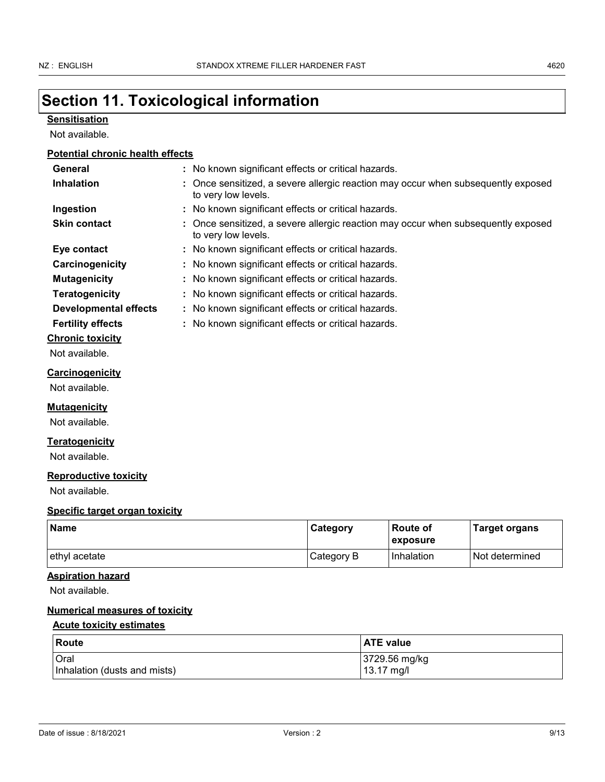# **Section 11. Toxicological information**

### **Sensitisation**

Not available.

### **Potential chronic health effects**

| General                               | : No known significant effects or critical hazards.                                                      |
|---------------------------------------|----------------------------------------------------------------------------------------------------------|
| <b>Inhalation</b>                     | : Once sensitized, a severe allergic reaction may occur when subsequently exposed<br>to very low levels. |
| Ingestion                             | : No known significant effects or critical hazards.                                                      |
| <b>Skin contact</b>                   | : Once sensitized, a severe allergic reaction may occur when subsequently exposed<br>to very low levels. |
| Eye contact                           | : No known significant effects or critical hazards.                                                      |
| Carcinogenicity                       | : No known significant effects or critical hazards.                                                      |
| <b>Mutagenicity</b>                   | : No known significant effects or critical hazards.                                                      |
| <b>Teratogenicity</b>                 | No known significant effects or critical hazards.                                                        |
| <b>Developmental effects</b>          | : No known significant effects or critical hazards.                                                      |
| <b>Fertility effects</b>              | : No known significant effects or critical hazards.                                                      |
| <b>Chronic toxicity</b>               |                                                                                                          |
| Not available.                        |                                                                                                          |
| <b>Carcinogenicity</b>                |                                                                                                          |
| Not available.                        |                                                                                                          |
| <u>Mutagenicity</u>                   |                                                                                                          |
| Not available.                        |                                                                                                          |
| <u>Teratogenicity</u>                 |                                                                                                          |
| Not available.                        |                                                                                                          |
| <b>Reproductive toxicity</b>          |                                                                                                          |
| Not available.                        |                                                                                                          |
| <b>Specific target organ toxicity</b> |                                                                                                          |
| <b>Name</b>                           | <b>Route of</b><br>Category<br><b>Target organs</b><br>exposure                                          |

### **Aspiration hazard**

Not available.

### **Numerical measures of toxicity**

### **Acute toxicity estimates**

| Route                        | <b>ATE value</b> |
|------------------------------|------------------|
| <b>Oral</b>                  | 3729.56 mg/kg    |
| Inhalation (dusts and mists) | 13.17 mg/l       |

ethyl acetate **Category B** Inhalation Not determined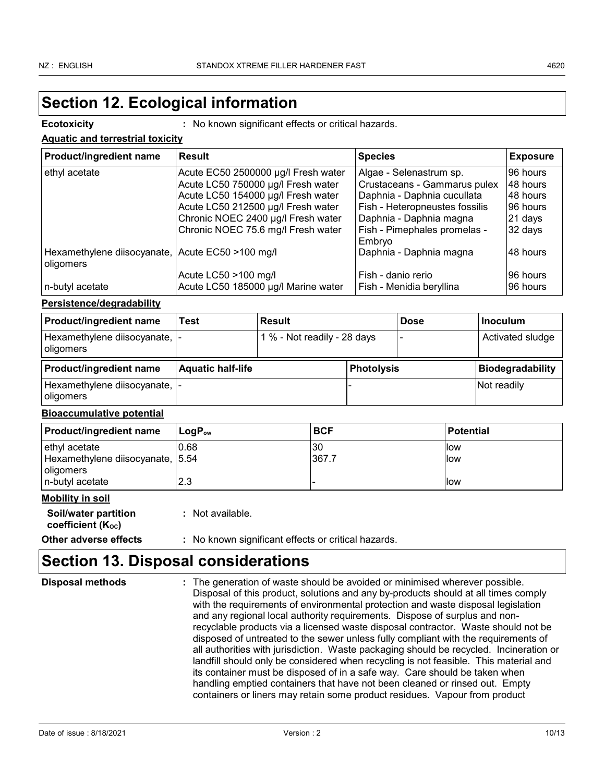## **Section 12. Ecological information**

**Ecotoxicity :** No known significant effects or critical hazards.

| <b>Aquatic and terrestrial toxicity</b> |
|-----------------------------------------|
|-----------------------------------------|

| <b>Product/ingredient name</b>                                | <b>Result</b>                       | <b>Species</b>                 | <b>Exposure</b> |
|---------------------------------------------------------------|-------------------------------------|--------------------------------|-----------------|
| ethyl acetate                                                 | Acute EC50 2500000 µg/l Fresh water | Algae - Selenastrum sp.        | 96 hours        |
|                                                               | Acute LC50 750000 µg/l Fresh water  | Crustaceans - Gammarus pulex   | 48 hours        |
|                                                               | Acute LC50 154000 µg/l Fresh water  | Daphnia - Daphnia cucullata    | 48 hours        |
|                                                               | Acute LC50 212500 µg/l Fresh water  | Fish - Heteropneustes fossilis | 96 hours        |
|                                                               | Chronic NOEC 2400 µg/l Fresh water  | Daphnia - Daphnia magna        | 21 days         |
|                                                               | Chronic NOEC 75.6 mg/l Fresh water  | Fish - Pimephales promelas -   | 32 days         |
|                                                               |                                     | Embryo                         |                 |
| Hexamethylene diisocyanate, Acute EC50 >100 mg/l<br>oligomers |                                     | Daphnia - Daphnia magna        | 48 hours        |
|                                                               | Acute LC50 >100 mg/l                | Fish - danio rerio             | I96 hours       |
| n-butyl acetate                                               | Acute LC50 185000 µg/l Marine water | Fish - Menidia beryllina       | 96 hours        |

### **Persistence/degradability**

| <b>Product/ingredient name</b>                | Test                     | <b>Result</b>               |                   | <b>Dose</b> | ∣Inoculum               |
|-----------------------------------------------|--------------------------|-----------------------------|-------------------|-------------|-------------------------|
| Hexamethylene diisocyanate,  -<br>  oligomers |                          | 1 % - Not readily - 28 days |                   |             | Activated sludge        |
| <b>Product/ingredient name</b>                | <b>Aquatic half-life</b> |                             | <b>Photolysis</b> |             | <b>Biodegradability</b> |
| Hexamethylene diisocyanate,  -<br>  oligomers |                          |                             |                   |             | Not readily             |

### **Bioaccumulative potential**

| <b>Product/ingredient name</b>   | ⊺LoɑP <sub>ow</sub> | <b>BCF</b> | <b>Potential</b> |
|----------------------------------|---------------------|------------|------------------|
| ethyl acetate                    | 0.68                | 30         | llow             |
| Hexamethylene diisocyanate, 5.54 |                     | 367.7      | llow             |
| oligomers                        |                     |            |                  |
| In-butvl acetate                 | 2.3                 |            | llow             |

### **Mobility in soil**

**Soil/water partition coefficient (KOC)**

**Other adverse effects :** No known significant effects or critical hazards.

## **Section 13. Disposal considerations**

**:** Not available.

| <b>Disposal methods</b> | : The generation of waste should be avoided or minimised wherever possible.                                                                                            |
|-------------------------|------------------------------------------------------------------------------------------------------------------------------------------------------------------------|
|                         | Disposal of this product, solutions and any by-products should at all times comply<br>with the requirements of environmental protection and waste disposal legislation |
|                         | and any regional local authority requirements. Dispose of surplus and non-                                                                                             |
|                         | recyclable products via a licensed waste disposal contractor. Waste should not be                                                                                      |
|                         | disposed of untreated to the sewer unless fully compliant with the requirements of                                                                                     |
|                         | all authorities with jurisdiction. Waste packaging should be recycled. Incineration or                                                                                 |
|                         | landfill should only be considered when recycling is not feasible. This material and                                                                                   |
|                         | its container must be disposed of in a safe way. Care should be taken when                                                                                             |
|                         | handling emptied containers that have not been cleaned or rinsed out. Empty                                                                                            |
|                         | containers or liners may retain some product residues. Vapour from product                                                                                             |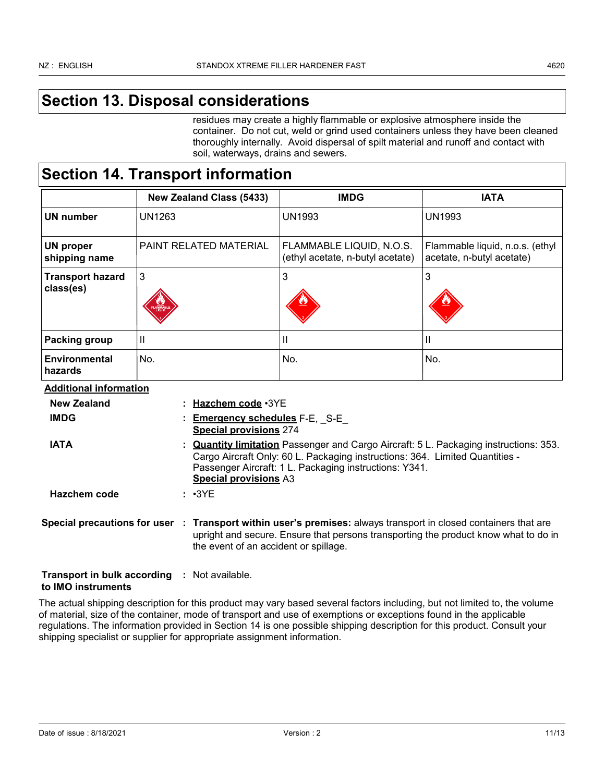## **Section 13. Disposal considerations**

residues may create a highly flammable or explosive atmosphere inside the container. Do not cut, weld or grind used containers unless they have been cleaned thoroughly internally. Avoid dispersal of spilt material and runoff and contact with soil, waterways, drains and sewers.

## **Section 14. Transport information**

|                                                          |               | <b>New Zealand Class (5433)</b>                                                                                                                                                                                                                                      | <b>IMDG</b>                                                                                                                                                                                            | <b>IATA</b>                                                  |
|----------------------------------------------------------|---------------|----------------------------------------------------------------------------------------------------------------------------------------------------------------------------------------------------------------------------------------------------------------------|--------------------------------------------------------------------------------------------------------------------------------------------------------------------------------------------------------|--------------------------------------------------------------|
| <b>UN number</b>                                         | <b>UN1263</b> |                                                                                                                                                                                                                                                                      | <b>UN1993</b>                                                                                                                                                                                          | <b>UN1993</b>                                                |
| <b>UN proper</b><br>shipping name                        |               | PAINT RELATED MATERIAL                                                                                                                                                                                                                                               | FLAMMABLE LIQUID, N.O.S.<br>(ethyl acetate, n-butyl acetate)                                                                                                                                           | Flammable liquid, n.o.s. (ethyl<br>acetate, n-butyl acetate) |
| <b>Transport hazard</b><br>class(es)                     | 3             |                                                                                                                                                                                                                                                                      | $\mathbf{3}$                                                                                                                                                                                           | 3                                                            |
| Packing group                                            | $\mathbf{I}$  |                                                                                                                                                                                                                                                                      | Ш                                                                                                                                                                                                      | $\mathbf{I}$                                                 |
| <b>Environmental</b><br>hazards                          | No.           |                                                                                                                                                                                                                                                                      | No.                                                                                                                                                                                                    | No.                                                          |
| <b>Additional information</b>                            |               |                                                                                                                                                                                                                                                                      |                                                                                                                                                                                                        |                                                              |
| <b>New Zealand</b>                                       |               | Hazchem code · 3YE                                                                                                                                                                                                                                                   |                                                                                                                                                                                                        |                                                              |
| <b>IMDG</b>                                              |               | <b>Emergency schedules F-E, S-E</b><br><b>Special provisions 274</b>                                                                                                                                                                                                 |                                                                                                                                                                                                        |                                                              |
| <b>IATA</b>                                              |               | <b>Quantity limitation</b> Passenger and Cargo Aircraft: 5 L. Packaging instructions: 353.<br>Cargo Aircraft Only: 60 L. Packaging instructions: 364. Limited Quantities -<br>Passenger Aircraft: 1 L. Packaging instructions: Y341.<br><b>Special provisions A3</b> |                                                                                                                                                                                                        |                                                              |
| Hazchem code                                             |               | $: \cdot3YE$                                                                                                                                                                                                                                                         |                                                                                                                                                                                                        |                                                              |
|                                                          |               | the event of an accident or spillage.                                                                                                                                                                                                                                | Special precautions for user : Transport within user's premises: always transport in closed containers that are<br>upright and secure. Ensure that persons transporting the product know what to do in |                                                              |
| <b>Transport in bulk according</b><br>to IMO instruments |               | : Not available.                                                                                                                                                                                                                                                     |                                                                                                                                                                                                        |                                                              |

The actual shipping description for this product may vary based several factors including, but not limited to, the volume of material, size of the container, mode of transport and use of exemptions or exceptions found in the applicable regulations. The information provided in Section 14 is one possible shipping description for this product. Consult your shipping specialist or supplier for appropriate assignment information.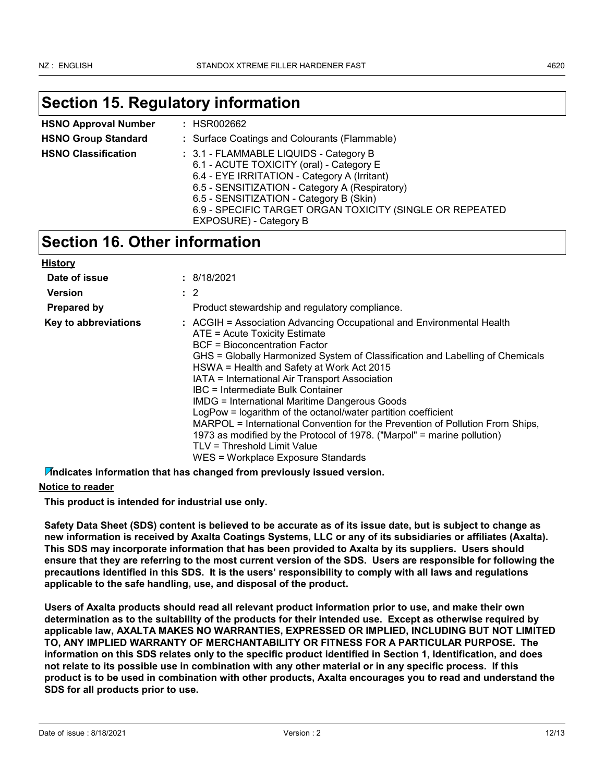## **Section 15. Regulatory information**

| <b>HSNO Approval Number</b> | : HSR002662                                                                                                                                                                                                                                                                                 |  |  |
|-----------------------------|---------------------------------------------------------------------------------------------------------------------------------------------------------------------------------------------------------------------------------------------------------------------------------------------|--|--|
| <b>HSNO Group Standard</b>  | : Surface Coatings and Colourants (Flammable)                                                                                                                                                                                                                                               |  |  |
| <b>HSNO Classification</b>  | : 3.1 - FLAMMABLE LIQUIDS - Category B<br>6.1 - ACUTE TOXICITY (oral) - Category E<br>6.4 - EYE IRRITATION - Category A (Irritant)<br>6.5 - SENSITIZATION - Category A (Respiratory)<br>6.5 - SENSITIZATION - Category B (Skin)<br>6.9 - SPECIFIC TARGET ORGAN TOXICITY (SINGLE OR REPEATED |  |  |
|                             | EXPOSURE) - Category B                                                                                                                                                                                                                                                                      |  |  |

## **Section 16. Other information**

| <b>History</b>       |                                                                                                                                                                                                                                                                                                                                                                                                                                                                                                                                                                                                                                                                                                                        |
|----------------------|------------------------------------------------------------------------------------------------------------------------------------------------------------------------------------------------------------------------------------------------------------------------------------------------------------------------------------------------------------------------------------------------------------------------------------------------------------------------------------------------------------------------------------------------------------------------------------------------------------------------------------------------------------------------------------------------------------------------|
| Date of issue        | : 8/18/2021                                                                                                                                                                                                                                                                                                                                                                                                                                                                                                                                                                                                                                                                                                            |
| <b>Version</b>       | $\therefore$ 2                                                                                                                                                                                                                                                                                                                                                                                                                                                                                                                                                                                                                                                                                                         |
| <b>Prepared by</b>   | Product stewardship and regulatory compliance.                                                                                                                                                                                                                                                                                                                                                                                                                                                                                                                                                                                                                                                                         |
| Key to abbreviations | : ACGIH = Association Advancing Occupational and Environmental Health<br>ATE = Acute Toxicity Estimate<br>BCF = Bioconcentration Factor<br>GHS = Globally Harmonized System of Classification and Labelling of Chemicals<br>HSWA = Health and Safety at Work Act 2015<br>IATA = International Air Transport Association<br>IBC = Intermediate Bulk Container<br><b>IMDG = International Maritime Dangerous Goods</b><br>LogPow = logarithm of the octanol/water partition coefficient<br>MARPOL = International Convention for the Prevention of Pollution From Ships,<br>1973 as modified by the Protocol of 1978. ("Marpol" = marine pollution)<br>TLV = Threshold Limit Value<br>WES = Workplace Exposure Standards |

**Indicates information that has changed from previously issued version.**

### **Notice to reader**

**This product is intended for industrial use only.**

**Safety Data Sheet (SDS) content is believed to be accurate as of its issue date, but is subject to change as new information is received by Axalta Coatings Systems, LLC or any of its subsidiaries or affiliates (Axalta). This SDS may incorporate information that has been provided to Axalta by its suppliers. Users should ensure that they are referring to the most current version of the SDS. Users are responsible for following the precautions identified in this SDS. It is the users' responsibility to comply with all laws and regulations applicable to the safe handling, use, and disposal of the product.**

**Users of Axalta products should read all relevant product information prior to use, and make their own determination as to the suitability of the products for their intended use. Except as otherwise required by applicable law, AXALTA MAKES NO WARRANTIES, EXPRESSED OR IMPLIED, INCLUDING BUT NOT LIMITED TO, ANY IMPLIED WARRANTY OF MERCHANTABILITY OR FITNESS FOR A PARTICULAR PURPOSE. The information on this SDS relates only to the specific product identified in Section 1, Identification, and does not relate to its possible use in combination with any other material or in any specific process. If this product is to be used in combination with other products, Axalta encourages you to read and understand the SDS for all products prior to use.**